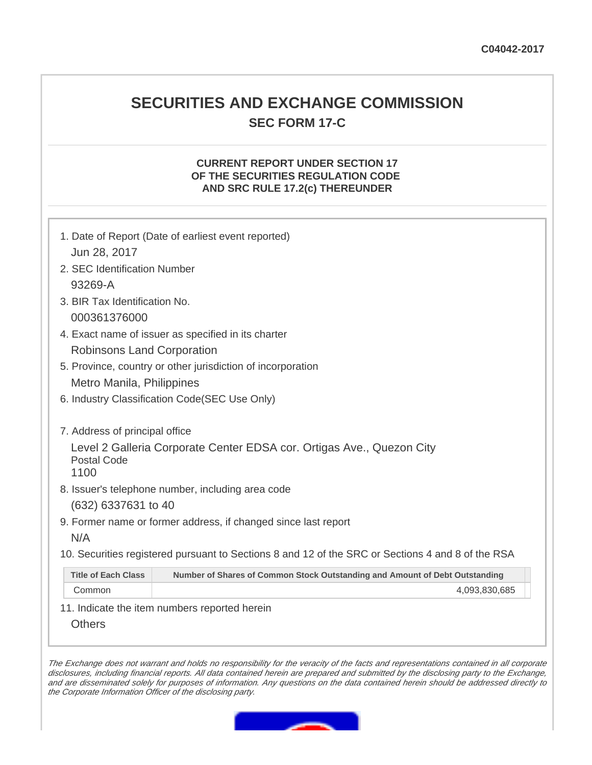# **SECURITIES AND EXCHANGE COMMISSION SEC FORM 17-C**

## **CURRENT REPORT UNDER SECTION 17 OF THE SECURITIES REGULATION CODE AND SRC RULE 17.2(c) THEREUNDER**

| 1. Date of Report (Date of earliest event reported)         |                                                                                                   |  |  |  |  |
|-------------------------------------------------------------|---------------------------------------------------------------------------------------------------|--|--|--|--|
| Jun 28, 2017                                                |                                                                                                   |  |  |  |  |
| 2. SEC Identification Number                                |                                                                                                   |  |  |  |  |
| 93269-A                                                     |                                                                                                   |  |  |  |  |
| 3. BIR Tax Identification No.                               |                                                                                                   |  |  |  |  |
| 000361376000                                                |                                                                                                   |  |  |  |  |
| 4. Exact name of issuer as specified in its charter         |                                                                                                   |  |  |  |  |
| Robinsons Land Corporation                                  |                                                                                                   |  |  |  |  |
| 5. Province, country or other jurisdiction of incorporation |                                                                                                   |  |  |  |  |
| Metro Manila, Philippines                                   |                                                                                                   |  |  |  |  |
|                                                             | 6. Industry Classification Code(SEC Use Only)                                                     |  |  |  |  |
|                                                             |                                                                                                   |  |  |  |  |
| 7. Address of principal office                              |                                                                                                   |  |  |  |  |
|                                                             | Level 2 Galleria Corporate Center EDSA cor. Ortigas Ave., Quezon City                             |  |  |  |  |
| Postal Code<br>1100                                         |                                                                                                   |  |  |  |  |
|                                                             | 8. Issuer's telephone number, including area code                                                 |  |  |  |  |
| (632) 6337631 to 40                                         |                                                                                                   |  |  |  |  |
|                                                             | 9. Former name or former address, if changed since last report                                    |  |  |  |  |
| N/A                                                         |                                                                                                   |  |  |  |  |
|                                                             | 10. Securities registered pursuant to Sections 8 and 12 of the SRC or Sections 4 and 8 of the RSA |  |  |  |  |
|                                                             |                                                                                                   |  |  |  |  |
| <b>Title of Each Class</b>                                  | Number of Shares of Common Stock Outstanding and Amount of Debt Outstanding                       |  |  |  |  |
| Common                                                      | 4,093,830,685                                                                                     |  |  |  |  |

11. Indicate the item numbers reported herein

**Others** 

The Exchange does not warrant and holds no responsibility for the veracity of the facts and representations contained in all corporate disclosures, including financial reports. All data contained herein are prepared and submitted by the disclosing party to the Exchange, and are disseminated solely for purposes of information. Any questions on the data contained herein should be addressed directly to the Corporate Information Officer of the disclosing party.

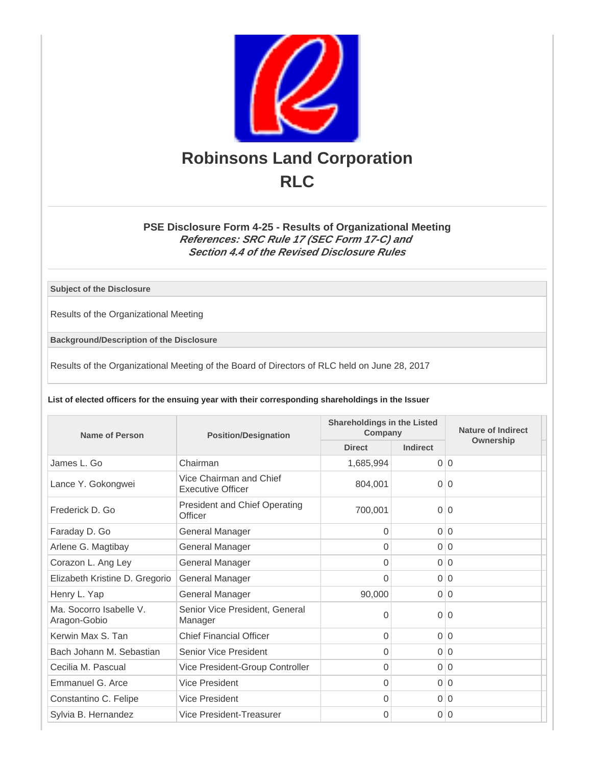

# **PSE Disclosure Form 4-25 - Results of Organizational Meeting References: SRC Rule 17 (SEC Form 17-C) and Section 4.4 of the Revised Disclosure Rules**

**Subject of the Disclosure**

Results of the Organizational Meeting

**Background/Description of the Disclosure**

Results of the Organizational Meeting of the Board of Directors of RLC held on June 28, 2017

**List of elected officers for the ensuing year with their corresponding shareholdings in the Issuer**

| Name of Person                          | <b>Position/Designation</b>                         | <b>Shareholdings in the Listed</b><br>Company |                | Nature of Indirect |
|-----------------------------------------|-----------------------------------------------------|-----------------------------------------------|----------------|--------------------|
|                                         |                                                     | <b>Direct</b>                                 | Indirect       | Ownership          |
| James L. Go                             | Chairman                                            | 1,685,994                                     | $\Omega$       | $\Omega$           |
| Lance Y. Gokongwei                      | Vice Chairman and Chief<br><b>Executive Officer</b> | 804.001                                       | $\Omega$       | $\Omega$           |
| Frederick D. Go                         | <b>President and Chief Operating</b><br>Officer     | 700,001                                       | 0 <sup>1</sup> | $\overline{0}$     |
| Faraday D. Go                           | <b>General Manager</b>                              | $\Omega$                                      |                | 0 0                |
| Arlene G. Magtibay                      | General Manager                                     | $\Omega$                                      | $\Omega$       | $\Omega$           |
| Corazon L. Ang Ley                      | General Manager                                     | $\Omega$                                      | $\Omega$       | $\Omega$           |
| Elizabeth Kristine D. Gregorio          | General Manager                                     | 0                                             |                | 0 0                |
| Henry L. Yap                            | General Manager                                     | 90,000                                        |                | 0 0                |
| Ma. Socorro Isabelle V.<br>Aragon-Gobio | Senior Vice President, General<br>Manager           | $\Omega$                                      | 0 <sup>1</sup> | $\Omega$           |
| Kerwin Max S. Tan                       | <b>Chief Financial Officer</b>                      | $\overline{0}$                                |                | 0 0                |
| Bach Johann M. Sebastian                | <b>Senior Vice President</b>                        | $\overline{0}$                                |                | 0 0                |
| Cecilia M. Pascual                      | Vice President-Group Controller                     | 0                                             | $\overline{0}$ | $\mathbf 0$        |
| Emmanuel G. Arce                        | <b>Vice President</b>                               | $\Omega$                                      | $\Omega$       | $\Omega$           |
| Constantino C. Felipe                   | Vice President                                      | $\Omega$                                      |                | 0 0                |
| Sylvia B. Hernandez                     | Vice President-Treasurer                            | $\Omega$                                      | $\overline{0}$ | $\Omega$           |